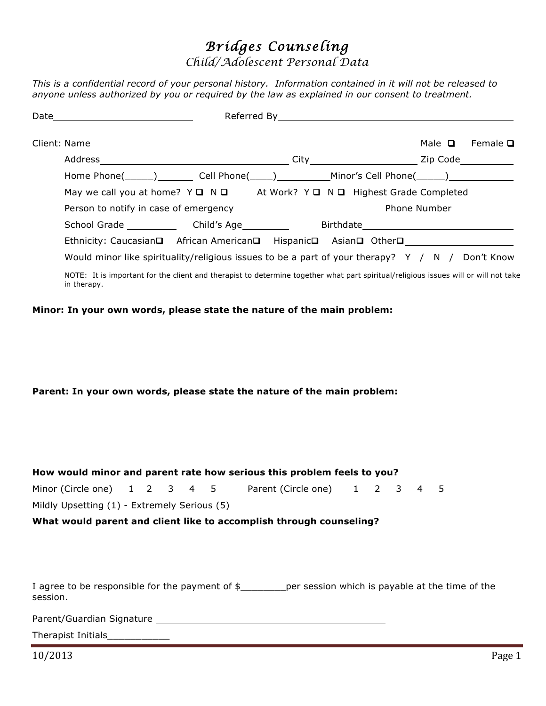# *Bridges Counseling*

*Child/Adolescent Personal Data*

*This is a confidential record of your personal history. Information contained in it will not be released to anyone unless authorized by you or required by the law as explained in our consent to treatment.*

| Date |                                                                                                                                                    | Referred By   |  | <u> 1989 - John Stein, mars and de Britain and de Britain and de Britain and de Britain and de Britain and de Br</u> |             |                 |  |  |  |
|------|----------------------------------------------------------------------------------------------------------------------------------------------------|---------------|--|----------------------------------------------------------------------------------------------------------------------|-------------|-----------------|--|--|--|
|      | Client: Name                                                                                                                                       |               |  |                                                                                                                      | Male $\Box$ | Female <b>□</b> |  |  |  |
|      |                                                                                                                                                    | City Zip Code |  |                                                                                                                      |             |                 |  |  |  |
|      | Home Phone(______)    Cell Phone(_____)     Minor's Cell Phone(______)                                                                             |               |  |                                                                                                                      |             |                 |  |  |  |
|      | May we call you at home? $Y \square \square \square$ At Work? $Y \square \square \square$ Highest Grade Completed                                  |               |  |                                                                                                                      |             |                 |  |  |  |
|      |                                                                                                                                                    |               |  |                                                                                                                      |             |                 |  |  |  |
|      | School Grade Child's Age                                                                                                                           |               |  |                                                                                                                      |             |                 |  |  |  |
|      | Ethnicity: Caucasian□ African American□ Hispanic□ Asian□ Other□                                                                                    |               |  |                                                                                                                      |             |                 |  |  |  |
|      | Would minor like spirituality/religious issues to be a part of your therapy? $Y / N /$ Don't Know                                                  |               |  |                                                                                                                      |             |                 |  |  |  |
|      | NOTE: It is important for the client and therapist to determine together what part spiritual/religious issues will or will not take<br>in therapy. |               |  |                                                                                                                      |             |                 |  |  |  |

**Minor: In your own words, please state the nature of the main problem:**

**Parent: In your own words, please state the nature of the main problem:**

| How would minor and parent rate how serious this problem feels to you? |  |  |  |  |  |                                                                                                            |  |  |  |  |  |
|------------------------------------------------------------------------|--|--|--|--|--|------------------------------------------------------------------------------------------------------------|--|--|--|--|--|
|                                                                        |  |  |  |  |  | Minor (Circle one) 1 2 3 4 5 Parent (Circle one) 1 2 3 4 5                                                 |  |  |  |  |  |
| Mildly Upsetting (1) - Extremely Serious (5)                           |  |  |  |  |  |                                                                                                            |  |  |  |  |  |
|                                                                        |  |  |  |  |  | What would parent and client like to accomplish through counseling?                                        |  |  |  |  |  |
|                                                                        |  |  |  |  |  |                                                                                                            |  |  |  |  |  |
|                                                                        |  |  |  |  |  |                                                                                                            |  |  |  |  |  |
|                                                                        |  |  |  |  |  |                                                                                                            |  |  |  |  |  |
| session.                                                               |  |  |  |  |  | I agree to be responsible for the payment of $\frac{1}{2}$ per session which is payable at the time of the |  |  |  |  |  |
|                                                                        |  |  |  |  |  |                                                                                                            |  |  |  |  |  |
|                                                                        |  |  |  |  |  |                                                                                                            |  |  |  |  |  |

10/2013 Page 1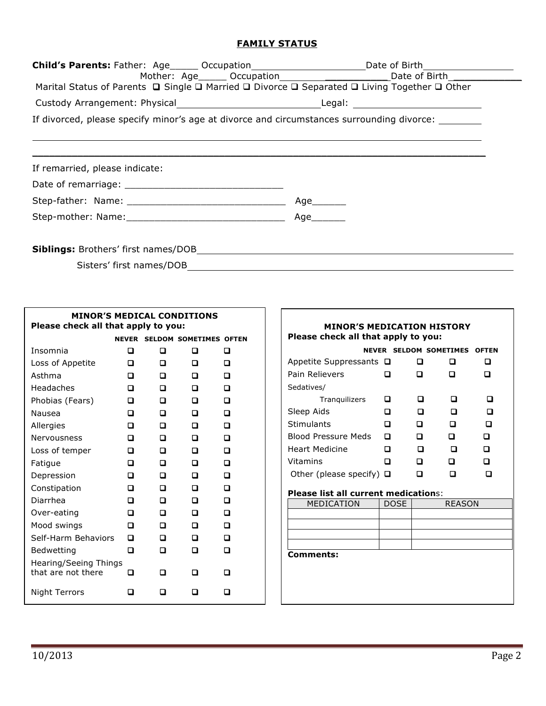## **FAMILY STATUS**

| Marital Status of Parents $\Box$ Single $\Box$ Married $\Box$ Divorce $\Box$ Separated $\Box$ Living Together $\Box$ Other | Child's Parents: Father: Age______ Occupation__________________________Date of Birth_________________________<br>Mother: Age______ Occupation______________________________Date of Birth________________ |
|----------------------------------------------------------------------------------------------------------------------------|----------------------------------------------------------------------------------------------------------------------------------------------------------------------------------------------------------|
|                                                                                                                            |                                                                                                                                                                                                          |
| If divorced, please specify minor's age at divorce and circumstances surrounding divorce: ________                         |                                                                                                                                                                                                          |
|                                                                                                                            |                                                                                                                                                                                                          |
| If remarried, please indicate:                                                                                             |                                                                                                                                                                                                          |
|                                                                                                                            |                                                                                                                                                                                                          |
|                                                                                                                            | Age________                                                                                                                                                                                              |
|                                                                                                                            | Age                                                                                                                                                                                                      |
|                                                                                                                            |                                                                                                                                                                                                          |
|                                                                                                                            |                                                                                                                                                                                                          |
| Sisters' first names/DOB                                                                                                   |                                                                                                                                                                                                          |

| <b>MINOR'S MEDICAL CONDITIONS</b><br>Please check all that apply to you: |   |   |   |                                     |  |  |  |
|--------------------------------------------------------------------------|---|---|---|-------------------------------------|--|--|--|
|                                                                          |   |   |   | <b>NEVER SELDOM SOMETIMES OFTEN</b> |  |  |  |
| Insomnia                                                                 | ◻ | n | п | п                                   |  |  |  |
| Loss of Appetite                                                         | п | n |   | n                                   |  |  |  |
| Asthma                                                                   | n | п |   | n                                   |  |  |  |
| <b>Headaches</b>                                                         | n | n |   |                                     |  |  |  |
| Phobias (Fears)                                                          | ◻ | п | п | n                                   |  |  |  |
| Nausea                                                                   | ◻ | n | n | n                                   |  |  |  |
| Allergies                                                                | ◘ | n | n | n                                   |  |  |  |
| Nervousness                                                              | п | n | n | n                                   |  |  |  |
| Loss of temper                                                           | ◻ | n | n | n                                   |  |  |  |
| Fatigue                                                                  | n | n | п | n                                   |  |  |  |
| Depression                                                               | n | n | п | n                                   |  |  |  |
| Constipation                                                             | n | n |   | n                                   |  |  |  |
| Diarrhea                                                                 | ◻ | п | П | n                                   |  |  |  |
| Over-eating                                                              | ◻ | n | n | n                                   |  |  |  |
| Mood swings                                                              | ◻ | n | п | n                                   |  |  |  |
| Self-Harm Behaviors                                                      | ם | n | n | n                                   |  |  |  |
| Bedwetting                                                               | ◻ | п | П | п                                   |  |  |  |
| Hearing/Seeing Things<br>that are not there                              | П | п | □ | п                                   |  |  |  |
| Night Terrors                                                            |   |   |   |                                     |  |  |  |

| Please check all that apply to you:<br><b>NEVER SELDOM SOMETIMES</b><br><b>OFTEN</b> |                                                               |   |                                                              |  |  |  |  |  |
|--------------------------------------------------------------------------------------|---------------------------------------------------------------|---|--------------------------------------------------------------|--|--|--|--|--|
|                                                                                      | П                                                             | □ | n                                                            |  |  |  |  |  |
| п                                                                                    | n                                                             | n | П                                                            |  |  |  |  |  |
|                                                                                      |                                                               |   |                                                              |  |  |  |  |  |
| П                                                                                    | п                                                             |   | П                                                            |  |  |  |  |  |
| n                                                                                    | n                                                             | n | п                                                            |  |  |  |  |  |
| □                                                                                    | п                                                             | n | n                                                            |  |  |  |  |  |
| ◘                                                                                    | n                                                             | n | п                                                            |  |  |  |  |  |
| □                                                                                    | □                                                             | п | ם                                                            |  |  |  |  |  |
| n                                                                                    | n                                                             | n | $\Box$                                                       |  |  |  |  |  |
|                                                                                      | П                                                             |   | П                                                            |  |  |  |  |  |
|                                                                                      |                                                               |   |                                                              |  |  |  |  |  |
| <b>DOSE</b>                                                                          |                                                               |   |                                                              |  |  |  |  |  |
|                                                                                      |                                                               |   |                                                              |  |  |  |  |  |
|                                                                                      |                                                               |   |                                                              |  |  |  |  |  |
|                                                                                      |                                                               |   |                                                              |  |  |  |  |  |
| Comments:                                                                            |                                                               |   |                                                              |  |  |  |  |  |
|                                                                                      |                                                               |   |                                                              |  |  |  |  |  |
|                                                                                      |                                                               |   |                                                              |  |  |  |  |  |
|                                                                                      |                                                               |   |                                                              |  |  |  |  |  |
|                                                                                      | Appetite Suppressants $\Box$<br>Other (please specify) $\Box$ |   | <b>Please list all current medications:</b><br><b>REASON</b> |  |  |  |  |  |

٦